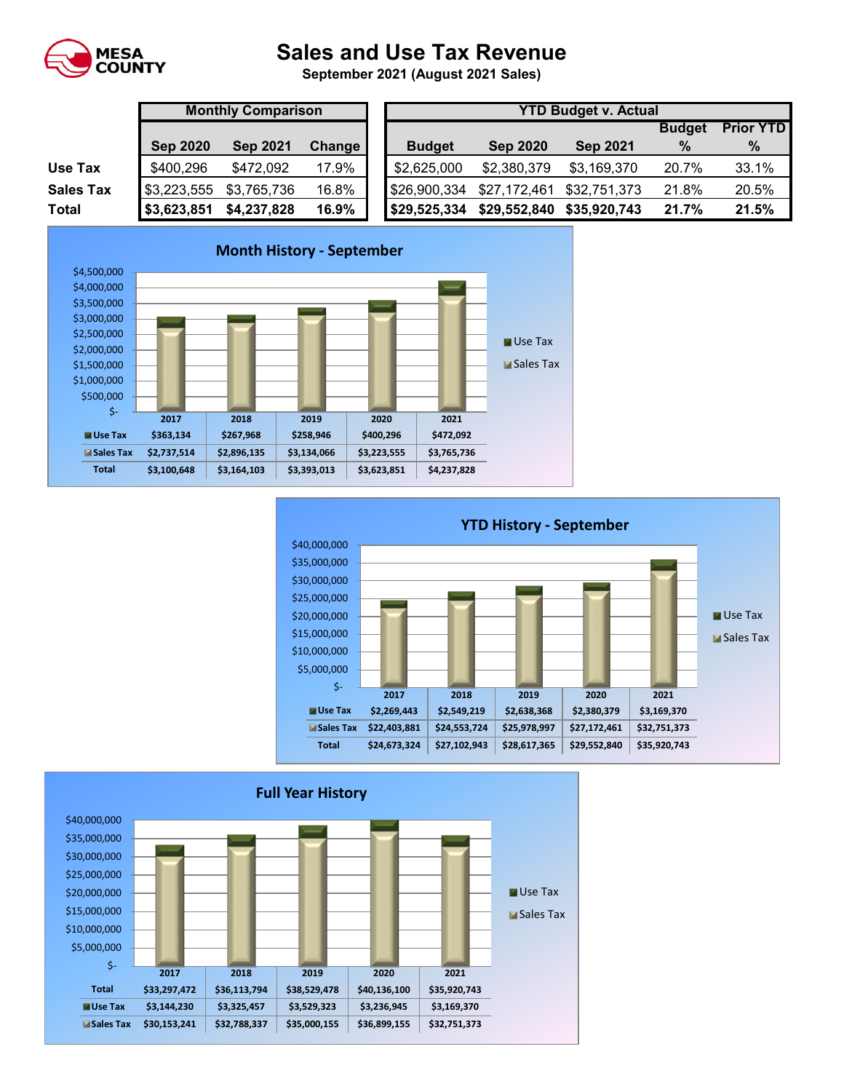

## **Sales and Use Tax Revenue**

**September 2021 (August 2021 Sales)** 

|                  | <b>Monthly Comparison</b> |                                  |       |  | <b>YTD Budget v. Actual</b> |                 |                 |               |                  |  |  |  |
|------------------|---------------------------|----------------------------------|-------|--|-----------------------------|-----------------|-----------------|---------------|------------------|--|--|--|
|                  |                           |                                  |       |  |                             |                 |                 | <b>Budget</b> | <b>Prior YTD</b> |  |  |  |
|                  | <b>Sep 2020</b>           | <b>Sep 2021</b><br><b>Change</b> |       |  | <b>Budget</b>               | <b>Sep 2020</b> | <b>Sep 2021</b> | $\%$          | $\%$             |  |  |  |
| Use Tax          | \$400,296                 | \$472,092                        | 17.9% |  | \$2,625,000                 | \$2,380,379     | \$3,169,370     | 20.7%         | 33.1%            |  |  |  |
| <b>Sales Tax</b> | \$3,223,555               | \$3,765,736                      | 16.8% |  | \$26,900,334                | \$27,172,461    | \$32,751,373    | 21.8%         | 20.5%            |  |  |  |
| <b>Total</b>     | \$3,623,851               | \$4,237,828                      | 16.9% |  | \$29,525,334                | \$29,552,840    | \$35,920,743    | 21.7%         | 21.5%            |  |  |  |





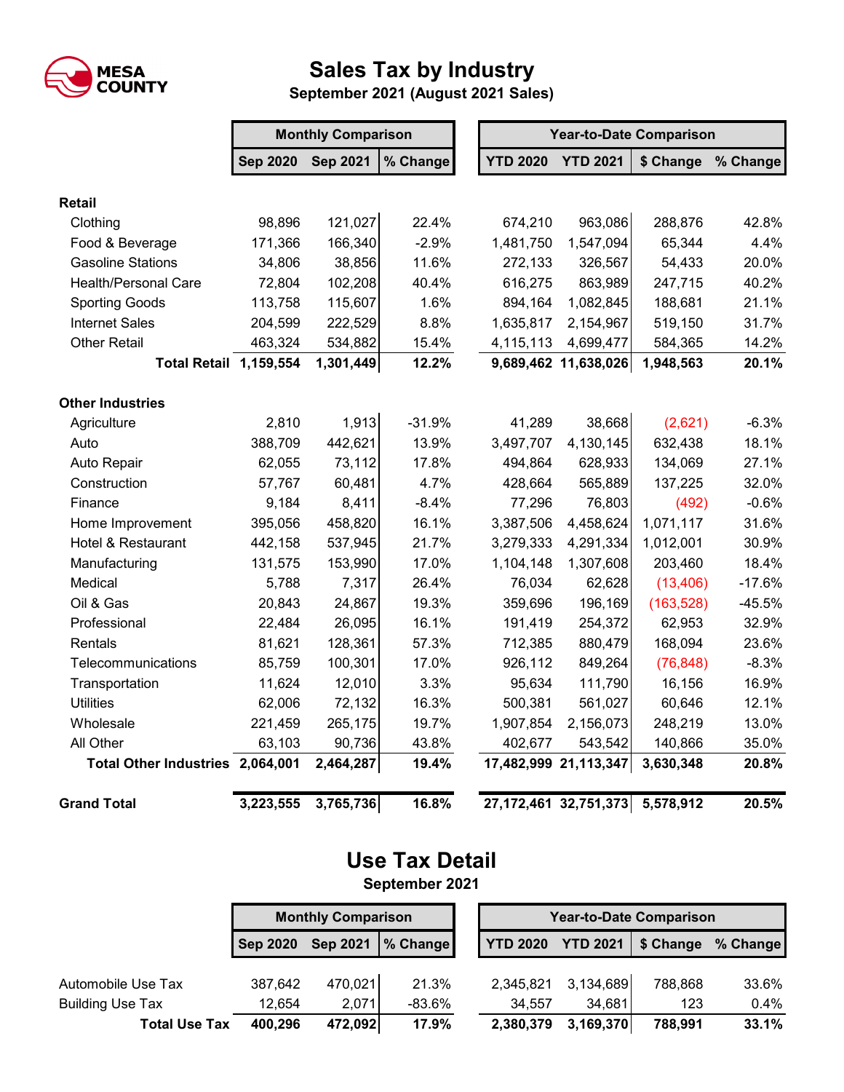

## **Sales Tax by Industry**

**September 2021 (August 2021 Sales)**

|                                  |                 | <b>Monthly Comparison</b> |          |           | <b>Year-to-Date Comparison</b> |                           |                  |          |  |  |  |
|----------------------------------|-----------------|---------------------------|----------|-----------|--------------------------------|---------------------------|------------------|----------|--|--|--|
|                                  | <b>Sep 2020</b> | <b>Sep 2021</b>           | % Change |           | <b>YTD 2020</b>                | <b>YTD 2021</b>           | \$ Change        | % Change |  |  |  |
| <b>Retail</b>                    |                 |                           |          |           |                                |                           |                  |          |  |  |  |
| Clothing                         | 98,896          | 121,027                   | 22.4%    |           | 674,210                        | 963,086                   | 288,876          | 42.8%    |  |  |  |
| Food & Beverage                  | 171,366         | 166,340                   | $-2.9%$  |           | 1,481,750                      | 1,547,094                 | 65,344           | 4.4%     |  |  |  |
| <b>Gasoline Stations</b>         | 34,806          | 38,856                    | 11.6%    |           | 272,133                        | 326,567                   | 54,433           | 20.0%    |  |  |  |
| <b>Health/Personal Care</b>      | 72,804          | 102,208                   | 40.4%    |           | 616,275                        | 863,989                   | 247,715          | 40.2%    |  |  |  |
| <b>Sporting Goods</b>            | 113,758         | 115,607                   | 1.6%     |           | 894,164                        | 1,082,845                 | 188,681          | 21.1%    |  |  |  |
| <b>Internet Sales</b>            | 204,599         | 222,529                   | 8.8%     | 1,635,817 |                                | 2,154,967                 | 519,150          | 31.7%    |  |  |  |
| <b>Other Retail</b>              | 463,324         | 534,882                   | 15.4%    | 4,115,113 |                                | 4,699,477                 | 14.2%<br>584,365 |          |  |  |  |
| <b>Total Retail 1,159,554</b>    |                 | 1,301,449                 | 12.2%    |           |                                | 9,689,462 11,638,026      | 1,948,563        | 20.1%    |  |  |  |
| <b>Other Industries</b>          |                 |                           |          |           |                                |                           |                  |          |  |  |  |
| Agriculture                      | 2,810           | 1,913                     | $-31.9%$ |           | 41,289                         | 38,668                    | (2,621)          | $-6.3%$  |  |  |  |
| Auto                             | 388,709         | 442,621                   | 13.9%    |           | 3,497,707                      | 4,130,145                 | 632,438          | 18.1%    |  |  |  |
| Auto Repair                      | 62,055          | 73,112                    | 17.8%    |           | 494,864                        | 628,933                   | 134,069          | 27.1%    |  |  |  |
| Construction                     | 57,767          | 60,481                    | 4.7%     |           | 428,664                        | 565,889                   | 137,225          | 32.0%    |  |  |  |
| Finance                          | 9,184           | 8,411                     | $-8.4%$  |           | 77,296                         | 76,803                    | (492)            | $-0.6%$  |  |  |  |
| Home Improvement                 | 395,056         | 458,820                   | 16.1%    |           | 3,387,506                      | 4,458,624                 | 1,071,117        | 31.6%    |  |  |  |
| Hotel & Restaurant               | 442,158         | 537,945                   | 21.7%    |           | 3,279,333                      | 4,291,334                 | 1,012,001        | 30.9%    |  |  |  |
| Manufacturing                    | 131,575         | 153,990                   | 17.0%    |           | 1,104,148                      | 1,307,608                 | 203,460          | 18.4%    |  |  |  |
| Medical                          | 5,788           | 7,317                     | 26.4%    |           | 76,034                         | 62,628                    | (13, 406)        | $-17.6%$ |  |  |  |
| Oil & Gas                        | 20,843          | 24,867                    | 19.3%    |           | 359,696                        | 196,169                   | (163, 528)       | $-45.5%$ |  |  |  |
| Professional                     | 22,484          | 26,095                    | 16.1%    |           | 191,419                        | 254,372                   | 62,953           | 32.9%    |  |  |  |
| Rentals                          | 81,621          | 128,361                   | 57.3%    |           | 712,385                        | 880,479                   | 168,094          | 23.6%    |  |  |  |
| Telecommunications               | 85,759          | 100,301                   | 17.0%    |           | 926,112                        | 849,264                   | (76, 848)        | $-8.3%$  |  |  |  |
| Transportation                   | 11,624          | 12,010                    | 3.3%     |           | 95,634                         | 111,790                   | 16,156           | 16.9%    |  |  |  |
| <b>Utilities</b>                 | 62,006          | 72,132                    | 16.3%    |           | 500,381                        | 561,027                   | 60,646           | 12.1%    |  |  |  |
| Wholesale                        | 221,459         | 265,175                   | 19.7%    |           | 1,907,854                      | 2,156,073                 | 248,219          | 13.0%    |  |  |  |
| All Other                        | 63,103          | 90,736                    | 43.8%    |           | 402,677                        | 543,542                   | 140,866          | 35.0%    |  |  |  |
| Total Other Industries 2,064,001 |                 | 2,464,287                 | 19.4%    |           |                                | 17,482,999 21,113,347     | 3,630,348        | 20.8%    |  |  |  |
| <b>Grand Total</b>               | 3,223,555       | 3,765,736                 | 16.8%    |           |                                | 27, 172, 461 32, 751, 373 | 5,578,912        | 20.5%    |  |  |  |

## **Use Tax Detail September 2021**

**Sep 2020 Sep 2021 % Change YTD 2020 YTD 2021 \$ Change % Change** Automobile Use Tax 387,642 470,021 21.3% 2,345,821 3,134,689 788,868 33.6% Building Use Tax 12,654 2,071 -83.6% 34,557 34,681 123 0.4% **Total Use Tax 400,296 472,092 17.9% 2,380,379 3,169,370 788,991 33.1% Monthly Comparison Year-to-Date Comparison**